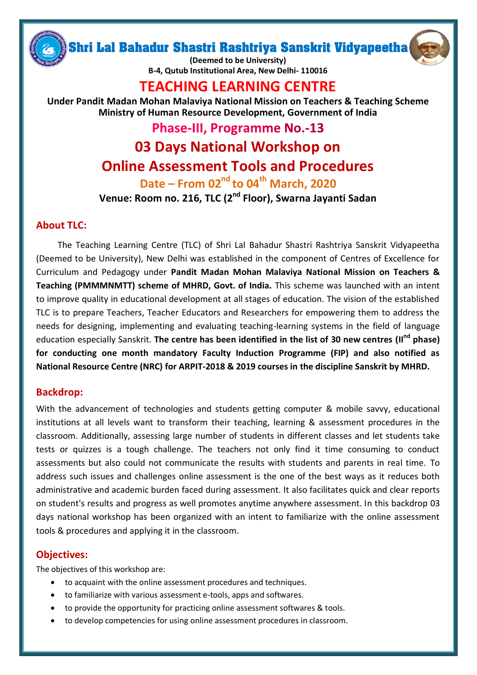

## **TEACHING LEARNING CENTRE**

**Under Pandit Madan Mohan Malaviya National Mission on Teachers & Teaching Scheme Ministry of Human Resource Development, Government of India**

# **Phase-III, Programme No.-13 03 Days National Workshop on Online Assessment Tools and Procedures Date – From 02nd to 04th March, 2020 Venue: Room no. 216, TLC (2nd Floor), Swarna Jayanti Sadan**

## **About TLC:**

The Teaching Learning Centre (TLC) of Shri Lal Bahadur Shastri Rashtriya Sanskrit Vidyapeetha (Deemed to be University), New Delhi was established in the component of Centres of Excellence for Curriculum and Pedagogy under **Pandit Madan Mohan Malaviya National Mission on Teachers & Teaching (PMMMNMTT) scheme of MHRD, Govt. of India.** This scheme was launched with an intent to improve quality in educational development at all stages of education. The vision of the established TLC is to prepare Teachers, Teacher Educators and Researchers for empowering them to address the needs for designing, implementing and evaluating teaching-learning systems in the field of language education especially Sanskrit. **The centre has been identified in the list of 30 new centres (IInd phase) for conducting one month mandatory Faculty Induction Programme (FIP) and also notified as National Resource Centre (NRC) for ARPIT-2018 & 2019 courses in the discipline Sanskrit by MHRD.**

### **Backdrop:**

With the advancement of technologies and students getting computer & mobile savvy, educational institutions at all levels want to transform their teaching, learning & assessment procedures in the classroom. Additionally, assessing large number of students in different classes and let students take tests or quizzes is a tough challenge. The teachers not only find it time consuming to conduct assessments but also could not communicate the results with students and parents in real time. To address such issues and challenges online assessment is the one of the best ways as it reduces both administrative and academic burden faced during assessment. It also facilitates quick and clear reports on student's results and progress as well promotes anytime anywhere assessment. In this backdrop 03 days national workshop has been organized with an intent to familiarize with the online assessment tools & procedures and applying it in the classroom.

### **Objectives:**

The objectives of this workshop are:

- to acquaint with the online assessment procedures and techniques.
- to familiarize with various assessment e-tools, apps and softwares.
- to provide the opportunity for practicing online assessment softwares & tools.
- to develop competencies for using online assessment procedures in classroom.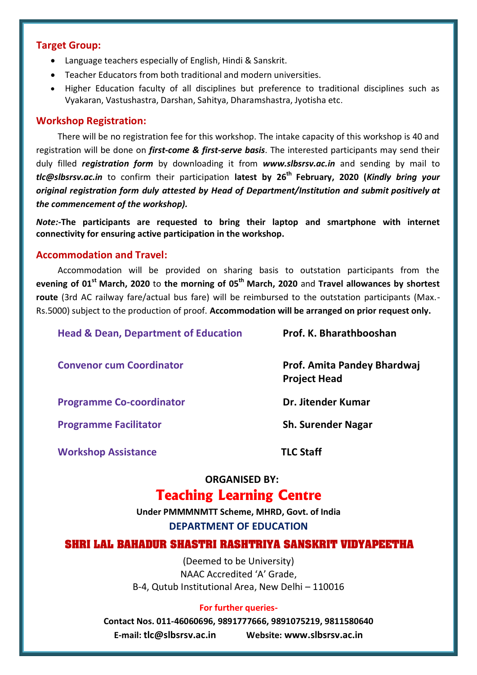#### **Target Group:**

- Language teachers especially of English, Hindi & Sanskrit.
- Teacher Educators from both traditional and modern universities.
- Higher Education faculty of all disciplines but preference to traditional disciplines such as Vyakaran, Vastushastra, Darshan, Sahitya, Dharamshastra, Jyotisha etc.

#### **Workshop Registration:**

There will be no registration fee for this workshop. The intake capacity of this workshop is 40 and registration will be done on *first-come & first-serve basis*. The interested participants may send their duly filled *registration form* by downloading it from *www.slbsrsv.ac.in* and sending by mail to *tlc@slbsrsv.ac.in* to confirm their participation **latest by 26 th February, 2020 (***Kindly bring your original registration form duly attested by Head of Department/Institution and submit positively at the commencement of the workshop).*

*Note:-***The participants are requested to bring their laptop and smartphone with internet connectivity for ensuring active participation in the workshop.**

#### **Accommodation and Travel:**

Accommodation will be provided on sharing basis to outstation participants from the **evening of 01 st March, 2020** to **the morning of 05th March, 2020** and **Travel allowances by shortest route** (3rd AC railway fare/actual bus fare) will be reimbursed to the outstation participants (Max.- Rs.5000) subject to the production of proof. **Accommodation will be arranged on prior request only.**

| <b>Head &amp; Dean, Department of Education</b> | Prof. K. Bharathbooshan     |
|-------------------------------------------------|-----------------------------|
| <b>Convenor cum Coordinator</b>                 | Prof. Amita Pandey Bhardwaj |
|                                                 | <b>Project Head</b>         |

**Programme Co-coordinator Dr. Jitender Kumar** 

**Programme Facilitator Sh. Surender Nagar**

**Workshop Assistance TLC Staff**

## **ORGANISED BY: Teaching Learning Centre**

**Under PMMMNMTT Scheme, MHRD, Govt. of India DEPARTMENT OF EDUCATION**

#### **SHRI LAL BAHADUR SHASTRI RASHTRIYA SANSKRIT VIDYAPEETHA**

(Deemed to be University) NAAC Accredited 'A' Grade, B-4, Qutub Institutional Area, New Delhi – 110016

#### **For further queries-**

**Contact Nos. 011-46060696, 9891777666, 9891075219, 9811580640 E-mail: tlc@slbsrsv.ac.in Website: www.slbsrsv.ac.in**